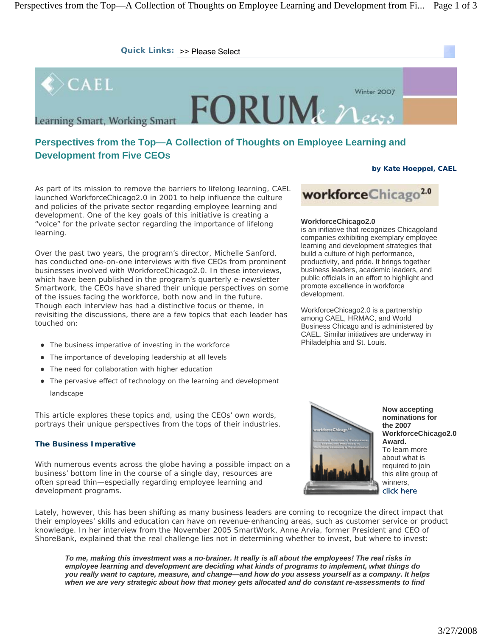

# **Perspectives from the Top—A Collection of Thoughts on Employee Learning and Development from Five CEOs**

# **by Kate Hoeppel, CAEL**

As part of its mission to remove the barriers to lifelong learning, CAEL launched WorkforceChicago2.0 in 2001 to help influence the culture and policies of the private sector regarding employee learning and development. One of the key goals of this initiative is creating a "voice" for the private sector regarding the importance of lifelong learning.

Over the past two years, the program's director, Michelle Sanford, has conducted one-on-one interviews with five CEOs from prominent businesses involved with WorkforceChicago2.0. In these interviews, which have been published in the program's quarterly e-newsletter Smartwork, the CEOs have shared their unique perspectives on some of the issues facing the workforce, both now and in the future. Though each interview has had a distinctive focus or theme, in revisiting the discussions, there are a few topics that each leader has touched on:

- The business imperative of investing in the workforce
- The importance of developing leadership at all levels
- The need for collaboration with higher education
- The pervasive effect of technology on the learning and development landscape

This article explores these topics and, using the CEOs' own words, portrays their unique perspectives from the tops of their industries.

# **The Business Imperative**

With numerous events across the globe having a possible impact on a business' bottom line in the course of a single day, resources are often spread thin—especially regarding employee learning and development programs.

Lately, however, this has been shifting as many business leaders are coming to recognize the direct impact that their employees' skills and education can have on revenue-enhancing areas, such as customer service or product knowledge. In her interview from the November 2005 SmartWork, Anne Arvia, former President and CEO of ShoreBank, explained that the real challenge lies not in determining whether to invest, but where to invest:

*To me, making this investment was a no-brainer. It really is all about the employees! The real risks in employee learning and development are deciding what kinds of programs to implement, what things do you really want to capture, measure, and change—and how do you assess yourself as a company. It helps when we are very strategic about how that money gets allocated and do constant re-assessments to find* 

# workforceChicago<sup>2.0</sup>

# **WorkforceChicago2.0**

is an initiative that recognizes Chicagoland companies exhibiting exemplary employee learning and development strategies that build a culture of high performance, productivity, and pride. It brings together business leaders, academic leaders, and public officials in an effort to highlight and promote excellence in workforce development.

WorkforceChicago2.0 is a partnership among CAEL, HRMAC, and World Business Chicago and is administered by CAEL. Similar initiatives are underway in Philadelphia and St. Louis.



**Now accepting nominations for the 2007 WorkforceChicago2.0 Award.** To learn more about what is required to join this elite group of winners, click here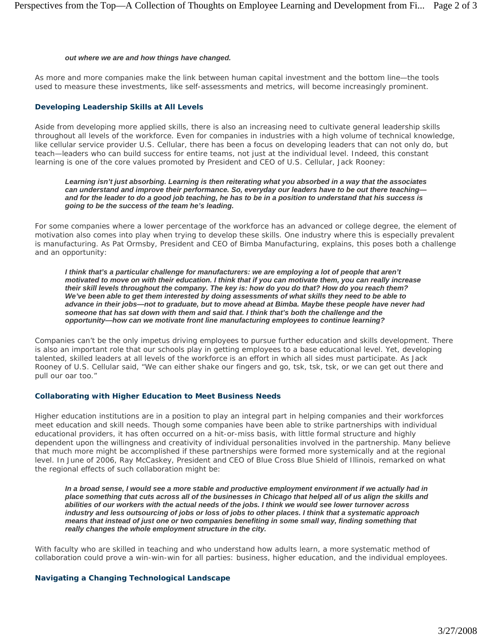#### *out where we are and how things have changed.*

As more and more companies make the link between human capital investment and the bottom line—the tools used to measure these investments, like self-assessments and metrics, will become increasingly prominent.

# **Developing Leadership Skills at All Levels**

Aside from developing more applied skills, there is also an increasing need to cultivate general leadership skills throughout all levels of the workforce. Even for companies in industries with a high volume of technical knowledge, like cellular service provider U.S. Cellular, there has been a focus on developing leaders that can not only do, but teach—leaders who can build success for entire teams, not just at the individual level. Indeed, this constant learning is one of the core values promoted by President and CEO of U.S. Cellular, Jack Rooney:

*Learning isn't just absorbing. Learning is then reiterating what you absorbed in a way that the associates can understand and improve their performance. So, everyday our leaders have to be out there teaching and for the leader to do a good job teaching, he has to be in a position to understand that his success is going to be the success of the team he's leading.* 

For some companies where a lower percentage of the workforce has an advanced or college degree, the element of motivation also comes into play when trying to develop these skills. One industry where this is especially prevalent is manufacturing. As Pat Ormsby, President and CEO of Bimba Manufacturing, explains, this poses both a challenge and an opportunity:

*I think that's a particular challenge for manufacturers: we are employing a lot of people that aren't motivated to move on with their education. I think that if you can motivate them, you can really increase their skill levels throughout the company. The key is: how do you do that? How do you reach them? We've been able to get them interested by doing assessments of what skills they need to be able to advance in their jobs—not to graduate, but to move ahead at Bimba. Maybe these people have never had someone that has sat down with them and said that. I think that's both the challenge and the opportunity—how can we motivate front line manufacturing employees to continue learning?* 

Companies can't be the only impetus driving employees to pursue further education and skills development. There is also an important role that our schools play in getting employees to a base educational level. Yet, developing talented, skilled leaders at all levels of the workforce is an effort in which all sides must participate. As Jack Rooney of U.S. Cellular said, "We can either shake our fingers and go, tsk, tsk, tsk, or we can get out there and pull our oar too."

## **Collaborating with Higher Education to Meet Business Needs**

Higher education institutions are in a position to play an integral part in helping companies and their workforces meet education and skill needs. Though some companies have been able to strike partnerships with individual educational providers, it has often occurred on a hit-or-miss basis, with little formal structure and highly dependent upon the willingness and creativity of individual personalities involved in the partnership. Many believe that much more might be accomplished if these partnerships were formed more systemically and at the regional level. In June of 2006, Ray McCaskey, President and CEO of Blue Cross Blue Shield of Illinois, remarked on what the regional effects of such collaboration might be:

*In a broad sense, I would see a more stable and productive employment environment if we actually had in place something that cuts across all of the businesses in Chicago that helped all of us align the skills and abilities of our workers with the actual needs of the jobs. I think we would see lower turnover across industry and less outsourcing of jobs or loss of jobs to other places. I think that a systematic approach means that instead of just one or two companies benefiting in some small way, finding something that really changes the whole employment structure in the city.* 

With faculty who are skilled in teaching and who understand how adults learn, a more systematic method of collaboration could prove a win-win-win for all parties: business, higher education, and the individual employees.

## **Navigating a Changing Technological Landscape**